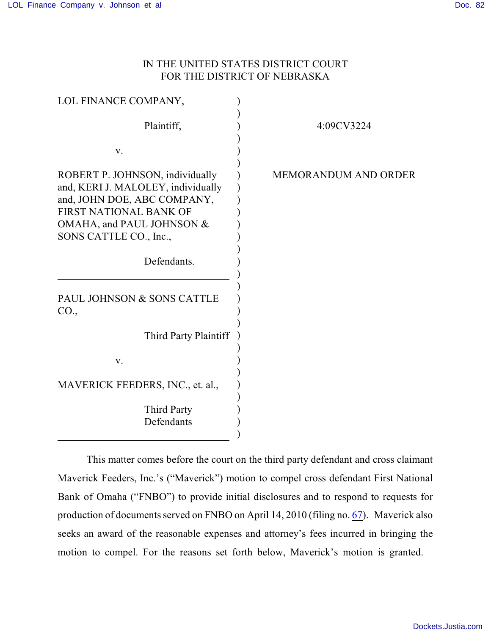## IN THE UNITED STATES DISTRICT COURT FOR THE DISTRICT OF NEBRASKA

| LOL FINANCE COMPANY,                                                                                                                                                                  |                             |
|---------------------------------------------------------------------------------------------------------------------------------------------------------------------------------------|-----------------------------|
| Plaintiff,                                                                                                                                                                            | 4:09CV3224                  |
| V.                                                                                                                                                                                    |                             |
| ROBERT P. JOHNSON, individually<br>and, KERI J. MALOLEY, individually<br>and, JOHN DOE, ABC COMPANY,<br>FIRST NATIONAL BANK OF<br>OMAHA, and PAUL JOHNSON &<br>SONS CATTLE CO., Inc., | <b>MEMORANDUM AND ORDER</b> |
| Defendants.                                                                                                                                                                           |                             |
| PAUL JOHNSON & SONS CATTLE<br>CO.,                                                                                                                                                    |                             |
| Third Party Plaintiff                                                                                                                                                                 |                             |
| V.                                                                                                                                                                                    |                             |
| MAVERICK FEEDERS, INC., et. al.,                                                                                                                                                      |                             |
| <b>Third Party</b><br>Defendants                                                                                                                                                      |                             |

This matter comes before the court on the third party defendant and cross claimant Maverick Feeders, Inc.'s ("Maverick") motion to compel cross defendant First National Bank of Omaha ("FNBO") to provide initial disclosures and to respond to requests for production of documents served on FNBO on April 14, 2010 (filing no. [67](http://ecf.ned.uscourts.gov/doc1/11302047772)). Maverick also seeks an award of the reasonable expenses and attorney's fees incurred in bringing the motion to compel. For the reasons set forth below, Maverick's motion is granted.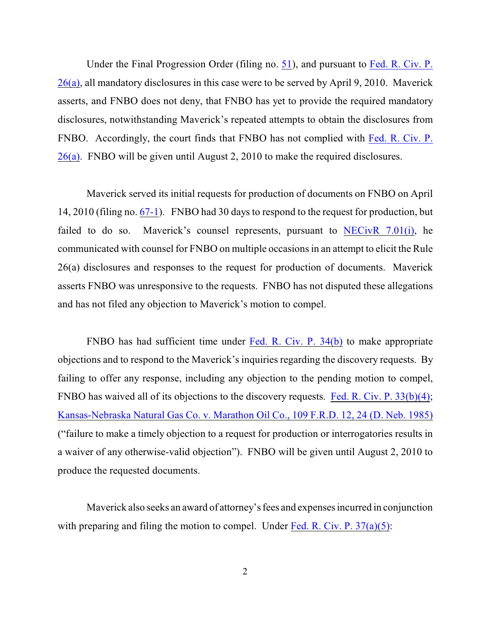Under the Final Progression Order (filing no. [51](http://ecf.ned.uscourts.gov/doc1/11301989317)), and pursuant to [Fed. R. Civ. P.](http://www.westlaw.com/find/default.wl?rs=CLWP3.0&vr=2.0&cite=FRCP+P.+26%28a%29) [26\(a\)](http://www.westlaw.com/find/default.wl?rs=CLWP3.0&vr=2.0&cite=FRCP+P.+26%28a%29), all mandatory disclosures in this case were to be served by April 9, 2010. Maverick asserts, and FNBO does not deny, that FNBO has yet to provide the required mandatory disclosures, notwithstanding Maverick's repeated attempts to obtain the disclosures from FNBO. Accordingly, the court finds that FNBO has not complied with [Fed. R. Civ. P.](http://www.westlaw.com/find/default.wl?rs=CLWP3.0&vr=2.0&cite=FRCP+P.+26%28a%29) [26\(a\)](http://www.westlaw.com/find/default.wl?rs=CLWP3.0&vr=2.0&cite=FRCP+P.+26%28a%29). FNBO will be given until August 2, 2010 to make the required disclosures.

Maverick served its initial requests for production of documents on FNBO on April 14, 2010 (filing no. [67-1](http://ecf.ned.uscourts.gov/doc1/11302047772)). FNBO had 30 days to respond to the request for production, but failed to do so. Maverick's counsel represents, pursuant to  $NECivR$  7.01(i), he communicated with counsel for FNBO on multiple occasions in an attempt to elicit the Rule 26(a) disclosures and responses to the request for production of documents. Maverick asserts FNBO was unresponsive to the requests. FNBO has not disputed these allegations and has not filed any objection to Maverick's motion to compel.

FNBO has had sufficient time under Fed. R. [Civ. P. 34\(b\)](http://www.westlaw.com/find/default.wl?rs=CLWP3.0&vr=2.0&cite=FRCP+P.+34%28b%29) to make appropriate objections and to respond to the Maverick's inquiries regarding the discovery requests. By failing to offer any response, including any objection to the pending motion to compel, FNBO has waived all of its objections to the discovery requests. [Fed. R. Civ. P. 33\(b\)\(4\)](http://www.westlaw.com/find/default.wl?rs=CLWP3.0&vr=2.0&cite=FRCP+P.+33%28b%29%284%29); [Kansas-Nebraska Natural Gas Co. v. Marathon Oil Co., 109 F.R.D. 12, 24 \(D. Neb. 1985\)](http://www.westlaw.com/find/default.wl?rs=CLWP3.0&vr=2.0&cite=109+F.R.D.+12) ("failure to make a timely objection to a request for production or interrogatories results in a waiver of any otherwise-valid objection"). FNBO will be given until August 2, 2010 to produce the requested documents.

Maverick also seeks an award of attorney's fees and expenses incurred in conjunction with preparing and filing the motion to compel. Under Fed. R. Civ. P.  $37(a)(5)$ :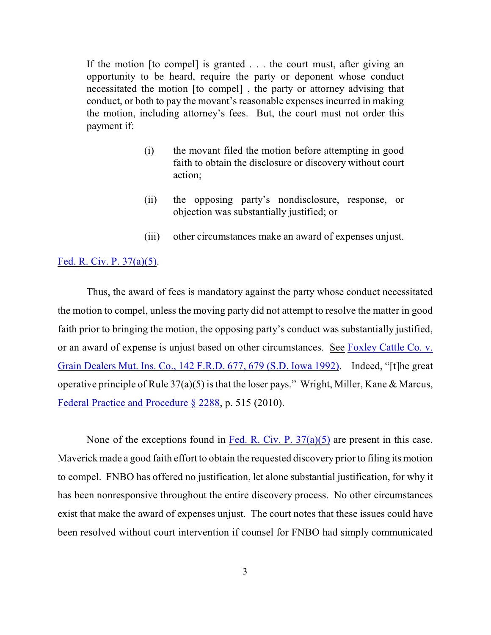If the motion [to compel] is granted . . . the court must, after giving an opportunity to be heard, require the party or deponent whose conduct necessitated the motion [to compel] , the party or attorney advising that conduct, or both to pay the movant's reasonable expenses incurred in making the motion, including attorney's fees. But, the court must not order this payment if:

- (i) the movant filed the motion before attempting in good faith to obtain the disclosure or discovery without court action;
- (ii) the opposing party's nondisclosure, response, or objection was substantially justified; or
- (iii) other circumstances make an award of expenses unjust.

## [Fed. R. Civ. P. 37\(a\)\(5\)](http://www.westlaw.com/find/default.wl?rs=CLWP3.0&vr=2.0&cite=FRCP+P.+37%28a%29%285%29).

Thus, the award of fees is mandatory against the party whose conduct necessitated the motion to compel, unless the moving party did not attempt to resolve the matter in good faith prior to bringing the motion, the opposing party's conduct was substantially justified, or an award of expense is unjust based on other circumstances. See [Foxley Cattle Co. v.](http://www.westlaw.com/find/default.wl?rs=CLWP3.0&vr=2.0&cite=142+F.R.D.+677) [Grain Dealers Mut. Ins. Co., 142 F.R.D. 677, 679 \(S.D. Iowa 1992\)](http://www.westlaw.com/find/default.wl?rs=CLWP3.0&vr=2.0&cite=142+F.R.D.+677). Indeed, "[t]he great operative principle of Rule  $37(a)(5)$  is that the loser pays." Wright, Miller, Kane & Marcus, [Federal Practice and Procedure § 2288](http://www.westlaw.com/find/default.wl?rs=CLWP3.0&vr=2.0&cite=FPP+s+2288), p. 515 (2010).

None of the exceptions found in Fed. R. Civ. P.  $37(a)(5)$  are present in this case. Maverick made a good faith effort to obtain the requested discovery prior to filing its motion to compel. FNBO has offered no justification, let alone substantial justification, for why it has been nonresponsive throughout the entire discovery process. No other circumstances exist that make the award of expenses unjust. The court notes that these issues could have been resolved without court intervention if counsel for FNBO had simply communicated